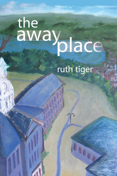# the<br>away<br>place

# ruth tiger

BAUD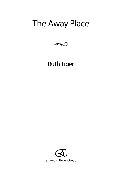# The Away Place



## Ruth Tiger

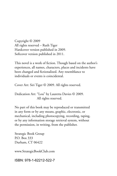Copyright © 2009 All rights reserved – Ruth Tiger Hardcover version published in 2009. Softcover version published in 2011.

This novel is a work of fiction. Though based on the author's experiences, all names, characters, places and incidents have been changed and fictionalized. Any resemblance to individuals or events is coincidental.

Cover Art: Siri Tiger © 2009. All rights reserved.

Dedication Art: "Lou" by Lauretta Davies © 2009. All rights reserved.

No part of this book may be reproduced or transmitted in any form or by any means, graphic, electronic, or mechanical, including photocopying, recording, taping, or by any information storage retrieval system, without the permission, in writing, from the publisher.

Strategic Book Group P.O. Box 333 Durham, CT 06422

www.StrategicBookClub.com

ISBN: 978-1-62212-522-7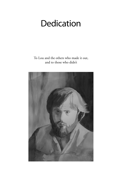# Dedication

To Lou and the others who made it out, and to those who didn't

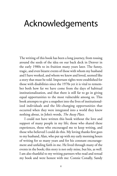# Acknowledgements

The writing of this book has been a long journey, from tossing around the seeds of the idea on our back deck in Denver in the early 1980s to its fruition many years later. The funny, tragic, and even bizarre events of those with whom my husband and I have worked, and whom we knew and loved, seemed like a story that must be told. Important rights were established for those with disabilities since the 1970s yet it is vital to remember both how far we have come from the days of habitual institutionalization, and that there is still far to go in giving equal opportunities to the most vulnerable among us. This book attempts to give a snapshot into the lives of institutionalized individuals and the life-changing opportunities that occurred when they were integrated into a world they knew nothing about, in John's words, *The Away Place*.

I could not have written this book without the love and support of many people in my life; those who shared these experiences, those who encouraged me to keep writing, and those who believed I could do this. My loving thanks first goes to my husband, Alan, who put up with my early morning hours of writing for so many years and for his constant encouragement and unfailing faith in me. He lived through many of the events in the book; this story is not only mine, but his, as well. I am also thankful to my writing partners who read and reread my book and were honest with me: Connie Conally, Sandy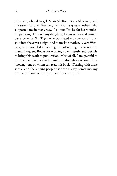Johanson, Sheryl Rogel, Shari Shelton, Betsy Sherman, and my sister, Carolyn Westberg. My thanks goes to others who supported me in many ways: Lauretta Davies for her wonderful painting of "Lou," my daughter, foremost fan and painter par excellence, Siri Tiger, who translated my concept of Larkspur into the cover design, and to my late mother, Alvera Westberg, who modeled a life-long love of writing. I also want to thank Eloquent Books for working so efficiently and quickly to bring this work to publication. Most of all, I am grateful to the many individuals with significant disabilities whom I have known, none of whom can read this book. Working with these special and challenging people has been my joy, sometimes my sorrow, and one of the great privileges of my life.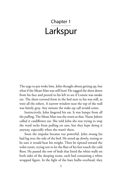# Chapter 1 Larkspur

The urge to pee woke him. John thought about getting up, but what if the Mean Man was still here? He tugged the sheet down from his face and peered to his left to see if Lonnie was awake yet. The sheet-covered form in the bed next to his was still, as were all the others. A narrow window near the top of the wall was faintly gray. Any minute the wake-up call would come.

Instinctively, John fingered his ear. It was lumpy from all the pulling. The Mean Man was the worst at that. Nurse Julette called it cauliflower ear. She told John she was trying to stop the ward techs from pulling on ears, but they kept doing it anyway, especially when she wasn't there.

Soon the impulse became too powerful. John swung his bad leg over the side of the bed. He stood up slowly, testing to be sure it would bear his weight. Then he tiptoed toward the toilet room, trying not to let the flats of his feet touch the cold floor. He passed the row of beds that lined the white walls on both sides of the sleeping room, each bed containing a white wrapped figure. In the light of the bare bulbs overhead, they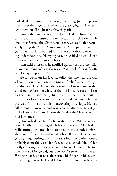looked like mummies. Everyone, including John, kept the sheets over their eyes to ward off the glaring lights. The techs kept them on all night for safety, they said.

Barney-the-Giant's enormous feet poked out from the end of his bed. John resisted the temptation to tickle them. He knew that Barney-the-Giant would roar awake and that would surely bring the Mean Man running. As he passed Timmy's giant-size crib, John noticed Timmy was already awake, writhing under the covers. Hurrying past, he decided he would stop to talk to Timmy on his way back.

John held himself as he shuffled quickly toward the toilet room, mumbling softly so the Mean Man wouldn't hear, "Gotta pee. Oh, gotta pee bad."

He sat down on his favorite toilet, the one near the wall where he could hang on. The tingle of relief made him sigh. He absently glanced down the row of black-seated toilets that stood out against the white of the tile floor. Just around the corner were the showers. John didn't like them. The drain in the center of the floor sucked the water down, and when he was wet, John had trouble maneuvering this slope. He had fallen more than once and was secretly afraid he might get sucked down the drain. At least that's what the Mean Man had told him once.

John pushed the silver flusher with his foot. Water whooshed down loudly and he cringed. He hoped the Mean Man had his radio turned on loud. John stopped at the clouded mirror above one of the sinks and gazed at his reflection. His hair was getting long, curling over his ears a bit. The barber would probably come this week. John's eyes were slanted, folds of skin partly covering them. Cookie said he looked Chinese. She told him he was a Mongoloid, but John wasn't sure what that meant. He peered at his flat nose then stuck his finger up his nostril. John's tongue was thick and fell out of his mouth as he con-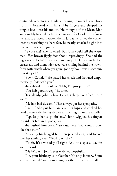centrated on exploring. Finding nothing, he swept his hair back from his forehead with his stubby fingers and slurped his tongue back into his mouth. He thought of the Mean Man and quickly headed back to bed to wait for Cookie, his favorite tech, to arrive and waken them. Just as he turned the corner, intently watching his bare feet, he nearly smacked right into Cookie. They both jumped.

"'S'cuse me!" she frowned. But John could tell she wasn't mad. Her brown jiggly face shook reprovingly. She had the biggest cheeks he'd ever seen and tiny black eyes with deep creases around them. Her eyes were smiling behind the frown. "You gotta watch where yer goin', Johnny boy. I was just comin' to wake ya'll."

"Sowy, Cookie." He patted her cheek and frowned empathetically. "Me sca'e you?"

She rubbed his shoulder. "Nah, I'm just jumpy."

"You hab good sweep?" he asked.

"Just dandy, Johnny boy. I always sleep like a baby. And you?"

"Me hab bad dweam." That always got her sympathy.

"Again?" She put her hands on her hips and cocked her head to one side, her eyebrows scrunching up in the middle.

"Yep. Icky hands pokin' me." John wiggled his fingers toward her face in a spooky way.

She pushed him back. "Git outa here. You know I don't like that stuff."

"Sowy." John hugged her then pushed away and looked into her smiling eyes. "Wo'k day t'day?"

"Yes sir, it's a workday all right. And it's a special day for you, I heard."

"My bi'fday?" John's eyes widened hopefully.

"No, your birthday is in October. It's only January. Some woman named Sarah something or other is comin' to talk to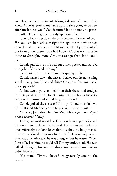you about some experiment, taking kids out of here. I don't know. Anyway, your name came up and she's going to be here after lunch to see you." Cookie turned John around and patted his butt. "Time to git everybody up around here."

John followed her down the aisle between the rows of beds. He could see her dark skin right through the thin white tech dress. Her short sleeves were tight and her chubby arms bulged out from under them. John had known Cookie ever since he came to Starlight, more Christmases ago than John could count.

Cookie pulled the little bell out of her pocket and handed it to John. "Go ahead, Johnny."

He shook it hard. The mummies sprang to life.

Cookie walked down the aisle and called out the same thing she did every day, "Rise and shine! Up and at 'em you passel of sleepyheads!"

All but two boys scrambled from their sheets and trudged in their pajamas to the toilet room. Timmy lay in his crib, helpless. His arms flailed and he grunted loudly.

Cookie pulled the sheet off Timmy. "Good mornin', Mr. Tim. I'll send Marley back to help you in just a minute."

*Oh, good,* John thought. *The Mean Man is gone and it's just brown-toothed Marley*.

Timmy grinned up at her. His mouth was open wide and his arms drew back beside his head. He was arched backward uncomfortably, but John knew that's just how his body moved. Timmy couldn't do anything for himself. He was fairly new to their ward. Marley said he was a veggie, but he wasn't. When John talked to him, he could tell Timmy understood. He even talked, though John couldn't always understand him. Cookie didn't believe it.

"Ga man!" Timmy chewed exaggeratedly around the words.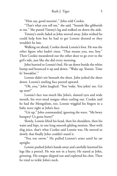"Him say, good mornin'," John told Cookie.

"That's what you tell me," she said. "Sounds like gibberish to me." She patted Timmy's leg and walked on down the aisle.

Timmy's smile faded as John moved away. John wished he could help him but he had to get Lonnie dressed so they wouldn't be late.

Walking on ahead, Cookie shook Lonnie's foot. He was the other figure who hadn't risen. "That means you, too, boy." Then Cookie meandered out the other door to go over to the girl's side, just like she did every morning.

John hurried to Lonnie's bed. He sat down beside the white bump and bounced it up and down. "Wake up, Yonnie. Time fo' bweakfas'."

Lonnie didn't stir beneath the sheet. John jerked the sheet down. Lonnie's smiling face peered upward.

"Oh, you," John laughed. "You 'wake. You jokin' me. Git up now!"

Lonnie's face was much like John's, slanted eyes and wide mouth, his over-sized tongue often curling out. Cookie said he had the Mongolism, too. Lonnie wiggled his fingers in a baby wave right at John's face.

"Git up," John commanded, ignoring the wave. "Me bewy hungwy! Us gotta huwy!"

Slowly, Lonnie lifted his head, then his shoulders, then his waist and hips, in one long smooth gliding motion. Shot with slug juice, that's what Cookie said Lonnie was. He moved so slowly that finally John couldn't stand it.

"You too swow." He pulled Lonnie's arms until he sat upright.

Lonnie pushed John's hands away and carefully knotted his legs like a pretzel. He was not in a hurry. He stared at John, grinning. His tongue slipped out and explored his chin. Then he tried to tickle John's neck.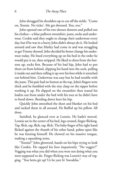John shrugged his shoulders up to cut off the tickle. "Come on, Yonnie. No ticko'. Me get dwessed. You, too."

John opened one of his two dresser drawers and pulled out his clothes—a blue pullover sweatshirt, jeans, socks and underwear. Cookie said they ought to change their underwear every day, but if he was in a hurry John didn't always do it. He looked around and saw that Marley had come in and was struggling to get Timmy dressed. John decided he better change his underwear today. He lined everything up on his bed in the order he would put it on, then stripped. He liked to dress from the bottom up, socks first. Because of his bad hip, John had to put them on from behind, slipping his hand into the sock, pulling it inside out and then rolling it up over his foot while it stretched out behind him. Underwear was easy but he had trouble with the jeans. This pair had no button at the top. John's fingers were thick and he fumbled with the tiny clasp on the zipper before working it up. He slipped on the sweatshirt then teased his loafers out from under the bed with his toes so he didn't have to bend down. Bending down hurt his hip.

Quickly John smoothed the sheet and blanket on his bed and tucked them in all around. He fluffed up his pillow. All done.

Satisfied, he glanced over at Lonnie. He hadn't moved. Lonnie sat in the center of his bed, legs crossed, finger-flicking. Tap, flick, tap, flick, tap, flick. The baby finger of his right hand flicked against the thumb of his other hand, palms open like he was fanning himself. He chewed on his massive tongue, making a squeaking noise.

"Yonnie!" John glowered, hands on his hips trying to look like Cookie. He tapped his foot impatiently. "No veggin'!" Vegging was what you did when you were not doing what you were supposed to do. Finger flicking was Lonnie's way of vegging. "You betta git up! Us be yate fo' bweakfas."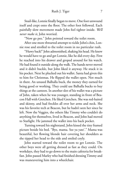Snail-like, Lonnie finally began to move. One foot unwound itself and crept onto the floor. The other foot followed. Each painfully slow movement made John feel tighter inside. *We'll never make it*, John worried.

"Now go pee." John pointed toward the toilet room.

After one more thwarted attempt to tickle John's chin, Lonnie rose and strolled to the toilet room in no particular rush.

"Huwy back!" John admonished, shaking his head. He knew he would have to go and get Lonnie, like he did every day. First he reached into his drawer and groped around for his watch. He had found it outside along the walk. The hands never moved and it didn't buckle, but John liked it anyway. He stuck it in his pocket. Next he plucked out his wallet. Santa had given this to him for Christmas. He flipped the wallet open. Not much in there. An unused Balhalla buck, the money they earned for being good or working. They could use Balhalla bucks to buy things at the canteen. In another slot of his wallet was a picture of John, taken when he was younger, standing in front of Beacon Hall with Gretchen. He liked Gretchen. She was red-haired and skinny, and had freckles all over her arms and neck. She was his favorite tech at Beacon, but he hadn't seen her since he left. Now the Veggies, the others like Timmy who couldn't do anything for themselves, lived in Beacon, and John had moved to Starlight. He jammed the wallet into his back pocket.

Turning toward his nightstand, John kissed the tiny framed picture beside his bed. "Bye, mama. See ya yate'." Mama was beautiful, her flowing blonde hair covering her shoulders as she tipped her head to the side and smiled coyly.

John started toward the toilet room to get Lonnie. The other boys were all getting dressed as fast as they could. On workdays, they had to go down to the main cafeteria for breakfast. John passed Marley who had finished dressing Timmy and was maneuvering him into a wheelchair.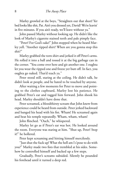Marley growled at the boys, "Straighten out that sheet! Yer bed looks like shit, Pat. Ain't you dressed yet, David? We're leavin' in five minutes. If you ain't ready, we'll leave without ya."

John passed Marley without looking up. He didn't like the look of Marley's cigarette stained teeth and pale pimply face.

"Peter! For God's sake!" John stopped when he heard Marley yell. "Another ripped shirt? When are you gonna stop this shit?"

Marley grabbed the torn shirt and jerked it off Peter's arms. He rolled it into a ball and tossed it at the big garbage can in the corner. "You come over here and git another one. I oughta let you wear the ripped one and freeze yer butt off. In fact, you oughta go naked. That'd teach ya."

Peter stood still, staring at the ceiling. He didn't talk, he didn't look at people, and he hated to be touched by anyone.

After waiting a few moments for Peter to move and pointing to the clothes cupboard, Marley lost his patience. He grabbed Peter's ear and tugged him forward. John shook his head. Marley shouldn't have done that.

Peter screamed, a bloodthirsty scream that John knew from experience could be heard from outside. Peter jerked backward and banged his head with his fist. Wham! He screamed again and beat his temple repeatedly. Wham, wham, wham!

John flinched. "Ouch," he whispered.

Marley let go as if Peter's ear was hot. He looked around the room. Everyone was staring at him. "Shut up, Peter! Stop it!" he hollered.

Peter kept screaming and hitting himself mercilessly.

"Just shut the fuck up! What the hell am I s'pose to do with you?" Marley made two fists that trembled at his sides. Somehow he controlled himself and backed up a few steps.

Gradually, Peter's screams subsided. Silently he pounded his forehead until it turned a deep red.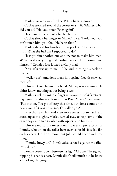Marley backed away further. Peter's hitting slowed.

Cookie stormed around the corner in a huff. "Marley, what did you do? Did you touch Peter again?"

"Just barely, the son of a bitch," he spat.

Cookie shook her finger in Marley's face. "I told you, you can't touch him, you fool. He hates that."

Marley shoved his hands into his pockets. "He ripped his shirt. What the hell am I supposed to do?"

"Just git him another one and try not to make him mad. We've tried everything and nothin' works. He's gonna hurt himself." Cookie's face looked awfully mad.

"Shit. If it was up to me …" he said, turning his back on Cookie.

"Well, it ain't. And don't touch him again," Cookie scowled, then left.

John snickered behind his hand. Marley was so dumb. He didn't know anything about being a tech.

Marley stuck his middle finger up toward Cookie's retreating figure and threw a clean shirt at Peter. "Here," he sneered. "Put this on. You git off easy this time, but don't count on it next time. If it was up to me, I'd wallop you!"

Peter thumped his head a few more times, not so hard, and stared up at the lights. Marley turned away to help some of the other boys who had trouble with zippers and buttons.

John walked to the toilet room. It was empty except for Lonnie, who sat on the toilet bent over so far his face lay flat on his knees. He didn't move, but John could hear him humming.

"Yonnie, huwy up!" John's voice echoed against the tiles. "You done?"

Lonnie peered down between his legs. "All done," he signed, flipping his hands apart. Lonnie didn't talk much but he knew a lot of sign language.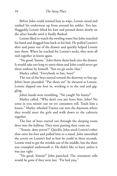Before John could remind him to wipe, Lonnie stood and yanked his underwear up from around his ankles. Too late. Sluggishly Lonnie lifted his foot and pressed down slowly on the silver handle until it finally flushed.

Lonnie liked to watch the swirling water but John snatched his hand and dragged him back to his bed. He pulled Lonnie's shirt and pants out of the drawer and quickly helped Lonnie into them. When he reached for Lonnie's socks, they were all tied together in knots again.

"No good, Yonnie." John threw them back into the drawer. It would take too long to untie them and John could never get them undone by himself. "You no git socks t'day."

Marley called, "Everybody in line, boys!"

The rest of the boys moved toward the doorway to line up. John's heart pounded. "Put shoes on!" he shouted at Lonnie. Lonnie slipped one foot in, working it to the end and giggling.

John's hands were trembling. "No yaugh! No funny!"

Marley called, "Why don't you jest leave him, John? No sense in you missin' out on yer cinnamon roll. Teach him a lesson." Marley wheeled Timmy out into the dayroom where they would meet the girls and walk down to the cafeteria together.

The line of boys started out through the sleeping room door into the hallway. They were putting their coats on.

"Yonnie, dem yeavin'!" Quickly, John stuck Lonnie's other shoe onto his foot and pulled him to a stand. John smoothed the covers on Lonnie's bed as best he could in three seconds. Lonnie tried to get the wrinkle out of the middle, but the sheet was crumpled underneath it. He didn't like to leave unless it was just right.

"No good, Yonnie!" John panicked. The cinnamon rolls would be gone if they were late. "Fix bed yata."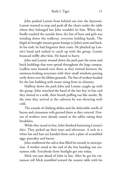John pushed Lonnie from behind out into the dayroom. Lonnie wanted to stop and push all the chairs under the table where they belonged but John wouldn't let him. When they finally reached the outside door, the line of boys and girls was winding down the walkway, everyone holding hands. The frigid air brought instant goose-bumps to John's arms and back. In his rush, he had forgotten their coats. He plucked up Lonnie's hand and rushed to catch up with the group. Lonnie bounced stiffly after him. He hated to hurry.

John and Lonnie wound down the path past the stone and brick buildings that were spread throughout the large campus. Leafless trees loomed over them as they twisted between the ominous-looking structures with their small windows peering eerily down over the lifeless grounds. The line of workers headed for the low building with steam rising from its chimney.

Halfway down the path John and Lonnie caught up with the group. John snatched the hand of the last boy in line and they slowed to a walk, their breath puffing out like smoke. By the time they arrived at the cafeteria he was shivering with cold.

The sounds of clinking dishes and the delectable smells of bacon and cinnamon rolls greeted them as they entered. Dozens of workers were already seated at the tables eating their breakfasts.

While they stood in line, John finished buttoning Lonnie's shirt. They picked up their trays and silverware. A tech in a white hat and hair net handed them each a plate of scrambled eggs, pancakes and bacon.

John swallowed the saliva that filled his mouth in anticipation. A worker stood at the end of the line handing out cinnamon rolls. Everybody from Starlight got one today.

Mick was just ahead of John in line. After he got his cinnamon roll Mick stumbled toward the nearest table with his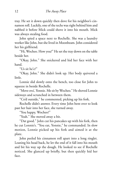tray. He set it down quickly then dove for his neighbor's cinnamon roll. Luckily, one of the techs was right behind him and nabbed it before Mick could shove it into his mouth. Mick was always stealing food.

John spied a space next to Rochelle. She was a laundry worker like John, but she lived in Moonbeam. John considered her his girlfriend.

"Hi, Wocheo. How you?" He set the tray down on the table beside her.

"Okay, John." She snickered and hid her face with her hand.

"Us sit he'e?"

"Okay, John." She didn't look up. Her body quivered a little.

Lonnie slid slowly onto the bench, too close for John to squeeze in beside Rochelle.

"Move ova', Yonnie. Me sit by Wocheo." He shoved Lonnie sideways and scrunched in between them.

"Co'd outside," he commented, picking up his fork.

Rochelle didn't answer. Every time John bent over to look past her hair into her face, she turned away.

"You happy, Wocheo?"

"Yeah." She moved away a bit.

"Dat good." John cut his pancakes up with his fork, then he cut Lonnie's. "You eat, Yonnie," he commanded. In slow motion, Lonnie picked up his fork and aimed it at the plate.

John peeled his cinnamon roll apart into a long ringlet. Leaning his head back, he let the end of it fall into his mouth and bit his way up the dough. He looked to see if Rochelle noticed. She glanced up briefly, but then quickly hid her face.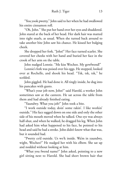"You yook pwetty," John said to her when he had swallowed his entire cinnamon roll.

"Oh, John." She put her hand over her eyes and shuddered. John stared at the back of her head. Her dark hair was matted into tight snarls, as usual. When she turned back around to take another bite John saw his chance. He kissed her bulging cheek.

She dropped her fork. "John!" Her face turned scarlet. She covered her cheeks with her hand and buried her face in the crook of her arm on the table.

John nudged Lonnie. "Me kiss Wocheo. My gewfwend!"

Lonnie's fork was poised over his eggs. He stopped, looked over at Rochelle, and shook his head. "Tsk, tsk, tsk," he scolded.

John giggled. He had done it. All tingly inside, he dug into his pancakes with gusto.

"What's your job now, John?" said Harold, a worker John sometimes saw at the canteen. He sat across the table from them and had already finished eating.

"Yaundwy. What you job?" John took a bite.

"I work outside today, doin' some rakin'. I like workin' outside." His face sagged down on one side and only the other side of his mouth moved when he talked. One eye was always half-shut, and when he walked, he dragged his leg. When John had asked him what happened to his face, he pointed to his head and said he had a stroke. John didn't know what that was, but it sounded bad.

"Pwetty co'd outside. Us wo'k inside. Wa'm in yaundwy, wight, Wocheo?" He nudged her with his elbow. She sat up and nodded without looking at him.

"What you fwend name?" John asked, pointing to a new girl sitting next to Harold. She had short brown hair that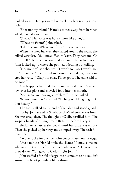looked greasy. Her eyes were like black marbles resting in dirt holes.

"She's not my friend!" Harold scooted away from her then asked, "What's your name?"

"Sheila." Her voice was husky, more like a boy's.

"Whe'e hu fwom?" John asked.

"I don't know. Where you from?" Harold repeated.

When she lifted her eyes, they darted around the room. She talked very fast. "You know. Had to leave. They hate me. Go up the hill!" Her voice got loud and she pointed straight upward. John looked up to where she pointed. Nothing but ceiling.

"No, no, no!" she shouted. "I won't go! No, I won't! You can't make me." She paused and looked behind her, then lowered her voice. "Okay. It's okay. I'll be good. The table said to be good."

A tech approached and Sheila put her head down. She bent low over her plate and shoveled food into her mouth.

"Sheila, are you having a problem?" the tech asked.

"Nononononono!" she fired. "I'll be good. Not going back. Not Cadby."

The tech walked to the end of the table and stood guard.

Cadby! John stared at Sheila. So that's where she was from. She was crazy then. The thought of Cadby terrified him. The groping hands of his nightmare flickered before his eyes.

Sheila ate as fast as she could until her plate was empty. Then she picked up her tray and stomped away. The tech followed her.

No one spoke for a while. John concentrated on his eggs.

After a minute, Harold broke the silence, "I know someone who went to Cadby before. Let's see, who was it?" His eyebrow drew down. "You goed to Cadby, right John?"

John stuffed a forkful of eggs into his mouth so he couldn't answer, his heart pounding like a drum.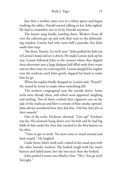Just then a worker came over in a white apron and began washing the tables. Harold started talking to her. John sighed. He had to remember not to sit by Harold anymore.

The buzzer rang loudly, startling them. Workers from all over the cafeteria got up and took their trays to the dishwashing window. Lonnie had only eaten half a pancake, but John made him stop.

"Aw done, Yonnie. Go wo'k now." John pulled the fork out of Lonnie's hand and set it down. He made Lonnie pick up his tray. Lonnie followed John to the counter where they slipped their silverware into a large dishpan half-filled with dirty water and set their trays on a moving belt. Lonnie dangled his napkin over the trashcan until John gently slapped his hand to make him let go.

When the napkin finally dropped in, Lonnie said, "Putsch!" the sound he loved to make when something fell.

The workers congregated near the outside doors. Some techs were already there, and others soon appeared, laughing and smiling. Two of them crushed their cigarettes out on the side of the trashcan and blew a stream of blue smoke upward. John always wondered how they did that. *Did they have fire in their mouths?* 

One of the techs, Erickson, shouted, "Line up!" Erickson was fat. His stomach hung down over his belt and he had big folds of skin under his chin that reached to the first button on his shirt.

"Time to get to work. No more time to stand around and look stupid." He laughed.

Linda Stern, John's work tech, waited in her usual spot with the other laundry workers. She looked tough with her man's haircut and faded jeans, but she was nicer than she looked.

John pushed Lonnie into Marley's line. "He'e. You go wo'k Sta'yight."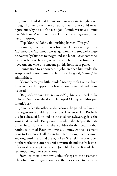John pretended that Lonnie went to work in Starlight, even though Lonnie didn't have a real job yet. John could never figure out why he didn't have a job; Lonnie wasn't a dummy like Mick or Mamie, or Peter. Lonnie leaned against John's hands, resisting.

"Yep, Yonnie," John said, pushing harder. "You go."

Lonnie grunted and shook his head. He was getting into a "no" mood. A "no" mood always got Lonnie in trouble because he eventually slumped to the ground and hit or kicked someone. He even bit a tech once, which is why he had no front teeth now. Anyone who bit someone got his front teeth pulled.

Lonnie tried to sit down, but John grabbed him under the armpits and hoisted him into line. "You be good, Yonnie," he admonished.

"Come here, you little punk." Marley took Lonnie from John and held his upper arms firmly. Lonnie winced and shook his head.

"Be good, Yonnie! No 'no' mood!" John called back as he followed Stern out the door. He hoped Marley wouldn't pull Lonnie's ear.

John trailed the other workers down the paved pathway to the largest stone building on campus, Lawrence Hall. Rochelle was just ahead of John and he watched her awkward gait as she swung side to side. Every once in a while she slapped the side of her head. John wished she wouldn't do that because that reminded him of Peter, who was a dummy. At the basement door to Lawrence Hall, Stern fumbled through her fist-sized key ring until she found the right key. She held the door open for the workers to enter. A draft of warm air and the fresh smell of clean sheets swept over them. John liked work. It made him feel important, like a smart one.

Stern led them down two series of steps to the basement. The whir of motors grew louder as they descended to the laun-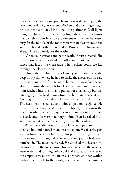dry area. The cavernous space below was wide and open, the floors and walls of gray cement. Washers and dryers big enough for two people to crawl into lined the perimeter. Dull lights hung on chains from the ceiling high above, casting funny shadows that John liked to experiment with when he wasn't busy. In the middle of the room were worktables where sheets and towels and clothes were folded. Bins of dirty linens were already lined up ready for the washers.

"Go to your stations and get to work," Stern directed. She spent most of her time drinking coffee and smoking in a small office that faced the work area. The workers could see her through the glass window.

John grabbed a bin of dirty laundry and pushed it to the deep utility sink where he had to shake the sheets out, in case there were messes. If there were, he had to wear his special gloves and rinse them out before loading them into the washer. John reached into the bin and pulled out a balled-up bundle. Untangling it, he held it away from his body and shook it out. Nothing in the first two sheets. He stuffed them into the washer. The next one smelled bad and John slipped on his gloves. He turned on the faucet and rinsed the slippery mess down the drain, breathing only through his mouth so he wouldn't smell the accident, like Stern had taught him. Then he rolled it up and squeezed it out before stuffing it into the washer, too.

When the washer was full, he took two scoops of soap from the soap box and poured them into the spout. His favorite part was pushing the green button. John poised his finger over it for a second, thinking what an important job he had, then punched it. The machine roared. He watched the sheets tumble inside until the suds blurred his view. When all the washers were loaded and running, John could take a break. He wheeled the empty carts out to the main aisle where another worker pushed them back to the wards, then he sat on the laundry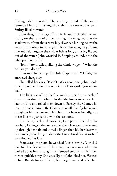folding table to watch. The gushing sound of the water reminded him of a fishing show that the cartoon day tech, Smitty, liked to watch.

John dangled his legs off the table and pretended he was sitting on the bank of a river, fishing. He imagined that the shadows cast from above were big, silver fish lurking below the water, just waiting to be caught. He cast his imaginary fishing line and felt a tug on the end. A fish as long as his leg flipped out of the water. John wrestled it, flopping around, onto the table just like on TV.

"John!" Stern called, sliding the window open. "What the hell are you doing?"

John straightened up. The fish disappeared. "Me fish," he answered sheepishly.

She rolled her eyes. "Fish? That's a good one, John. Look. One of your washers is done. Get back to work, you screwball."

The light was off on the first washer. One by one each of the washers shut off. John unloaded the linens into two clean laundry bins and rolled them down to Barney-the-Giant, who ran the dryers. Barney-the Giant was so tall that if John looked straight at him he saw only his chest. But he was friendly, not mean like the giants he saw in the cartoons.

On his way back to the washers, John passed Rochelle. She was busy folding clothes on a worktable. He waved. She looked up through her hair and waved a finger, then hid her face with her hands. John thought about the kiss at breakfast. A rush of heat flooded his face.

From across the room, he watched Rochelle work. Rochelle's hair hid her face most of the time, but once in a while she looked up at him through the clumped strands, smiled then turned quickly away. She was silly, but John liked her. He used to have Brenda for a girlfriend, but she got mad and called him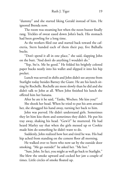"dummy" and she started liking Gerald instead of him. He ignored Brenda now.

The room was steaming hot when the noon buzzer finally rang. Trickles of sweat eased down John's back. His stomach had been growling for a long time.

As the workers filed out and started back toward the cafeteria, Stern handed each of them their pay, five Balhalla bucks.

"Don't spend it all in one place," she said, slapping John on the butt. "And don't do anything I wouldn't do."

"Yep, Ste'n. Me be good." He folded his brightly colored paper bucks neatly into his wallet and slipped it into his hip pocket.

Lunch was served in shifts and John didn't see anyone from Starlight today besides Barney the Giant. He ate his lunch sitting by Rochelle. Rochelle ate more slowly than he did and she didn't talk to John at all. When John finished his lunch she offered him her banana.

After he ate it he said, "Tanks, Wocheo. Me kiss you?"

She shook her head. When he tried to put his arm around her, she shrugged his hand away, turning her back to him.

John was peeved. He didn't understand girls. Sometimes they let him kiss them and sometimes they didn't. He put his tray away, shaking his head. "Gew's!" he muttered. He had heard Marley say that when the girls messed up or Cookie made him do something he didn't want to do.

Suddenly, John realized how hot and tired he was. His bad hip ached from standing on the cement floor all morning.

He walked over to Stern who now sat by the outside door smoking. "Me go outside?" he asked her. "Me hot."

"Sure, John. In fact, you might as well go back to Starlight." She blew the smoke upward and cocked her jaw a couple of times. Little circles of smoke floated up.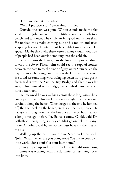"How you do dat?" he asked.

"Well, I practice a lot." Stern almost smiled.

Outside, the sun was gone. Winter clouds made the sky solid white. John walked up the little grass-lined path to a bench and sat down. The chilly air felt good on his hot skin. He noticed the smoke coming out of his mouth and tried snapping his jaw like Stern, but he couldn't make any circles appear. Maybe that's why there were so many clouds now. Lots of people had been outside smoking into the cold air.

Gazing across the lawns, past the lower campus buildings toward the Away Place, John could see the tops of houses between the bare trees, the circle of gray water Stern called the bay and more buildings and trees on the far side of the water. He could see some long wires swinging down from green posts. Stern said it was the Yaquina Bay Bridge and that it was far away. John squinted at the bridge, then climbed onto the bench for a better look.

He imagined he was walking across those long wires like a circus performer. John stuck his arms straight out and walked carefully along the bench. When he got to the end he jumped off, then sat back on the bench, staring at the Away Place. He had gone through town on the bus once or twice, but that was a long time ago, before Dr. Balhalla came. Cookie said Dr. Balhalla cut everything so they couldn't go on field trips anymore. All John could figure was he must have cut the tires on the bus.

Walking up the path toward him, Stern broke his spell, "John! What the hell are you doing now? You live in your own little world, don't you? Get your butt home!"

John jumped up and hurried back to Starlight wondering if Lonnie was working with the dummies or just tying socks into knots.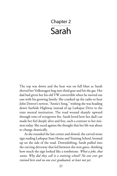# Chapter 2 Sarah

The top was down and the heat was on full blast as Sarah shoved her Volkswagen bug into third gear and hit the gas. Her dad had given her his old VW convertible when he moved out east with his growing family. She cranked up the radio to hear John Denver's newest, "Annie's Song," wishing she was heading down Surfside Highway instead of up Larkspur Drive to the state mental institution. The road wound sharply upward through rows of overgrown firs. Sarah loved how her dad's car made her feel deeply alive and free, such a contrast to her mission today. She raced against the thought that her life was about to change drastically.

As she rounded the last corner and slowed, the carved stone sign reading Larkspur State Home and Training School, loomed up on the side of the road. Downshifting, Sarah pulled into the curving driveway that led between the iron gates, thinking how much the sign looked like a tombstone. *What a joke, that name. Why did they call it a training school? No one ever got trained here and no one ever graduated, at least not yet*.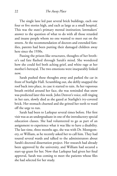The single lane led past several brick buildings, each one four or five stories high, and each as large as a small hospital. This was the state's primary mental institution; lawmakers' answer to the question of what to do with all those retarded and insane people whom no one wanted to meet out on the streets. At the recommendation of doctors and extended families, parents had been putting their damaged children away here since the 1930s.

Passing the prison-like structures, thoughts of her brother's sad fate flashed through Sarah's mind. She wondered how she could feel both aching grief, and white rage at her mother's betrayal. The two emotions were inseparably linked now.

Sarah pushed these thoughts away and parked the car in front of Starlight Hall. Scrambling out, she deftly snapped the roof back into place, in case it started to rain. As her vaporous breath swirled around her face, she was reminded that snow was predicted later this week. John Denver's voice, still ringing in her ears, slowly died as she gazed at Starlight's ivy-covered brick. Her stomach churned and she gritted her teeth to ward off the urge to run.

Sarah had been to Larkspur several times before. Her first visit was as an undergraduate in one of the introductory special education classes. She had volunteered to go as part of an assignment to experience what it was like to have a disability. The last time, three months ago, she was with Dr. Montgomery, or William, as he recently asked her to call him. They had toured several wards and talked to the administrators about Sarah's doctoral dissertation project. Her research had already been approved by the university, and William had secured a start-up grant for her. Now that Larkspur had given her final approval, Sarah was coming to meet the patients whose files she had selected for her study.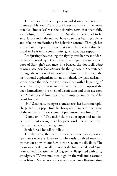The criteria for her subjects included only patients with immeasurably low IQ's or those lower than fifty, if they were testable; "imbeciles" was the pejorative term that thankfully was falling out of common use. Sarah's subjects had to be ambulatory and toilet trained, have no serious health problems and take no medications for behavior control. Through her study, Sarah hoped to show that even the severely disabled could make it in the community, given adequate support.

Readjusting the stocking cap tightly over her mass of dark curls Sarah strode quickly up the stone steps to the gray metal door of Starlight's entrance. She buzzed the doorbell. *How strange to hole people up like this,* she thought again. She watched through the reinforced window as a technician, a.k.a. tech, the institutional euphemism for an untrained, low paid assistant, strode down the wide corridor toward her with a large ring of keys. The tech, a thin white man with bad teeth, opened the door. Immediately the smells of disinfectant and urine accosted her. Moaning and low, repetitive thumping sounds could be heard from within.

"Hi," Sarah said, trying to sound at ease, her heartbeat rapid. She pulled out a paper from her backpack. "I'm here to see some of the residents. I have a letter of permission here from …"

"Come on in." The tech held the door open and nodded her in without asking to see her paperwork. He led her down the tiled hallway to the dayroom.

Sarah forced herself to follow.

The dayroom, the main living area in each ward, was an open area where a dozen or so obviously disabled men and women sat on worn out furniture or lay on the tile floor. The room was bleak, like all the wards she had visited, and Sarah noticed with distaste the sickly green walls spotted with dirty smudges. A TV was mounted high on the wall and a cartoon show blared. Several residents were engaged in self-stimulating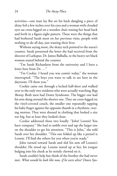activities—one man lay flat on his back dangling a piece of shiny foil a few inches over his eyes and a woman with clouded eyes sat cross-legged on a wooden chair tossing her head back and forth in a figure-eight pattern. These were the things that had bothered Sarah most on her previous visits, people with nothing to do all day, just wasting their lives.

Without saying more, the sleazy tech pointed to the nurse's counter. Sarah presented the letter she had received from the director of Larkspur, Dr. James Balhalla, to the heavy-set black woman seated behind the counter.

"I'm Sarah Richardson from the university and I have a letter here from Dr. …"

"I'm Cookie. I heard you was comin' today," the woman interrupted. "The boys you want to talk to are here in the dayroom. I'll show you."

Cookie came out through a locked half-door and walked over to the only two residents who were actually watching *Bugs Bunny*. Both men had Down Syndrome. The bigger one had his arm slung around the shorter one. They sat cross-legged on the vinyl-covered couch, the smaller one repeatedly tapping his baby finger against the opposite thumb in a rhythmic, waving motion. They were dressed in clothing that looked a size too big, but at least they looked clean.

Cookie addressed these two loudly. "John! Lonnie! You have company." She had to amble over and tap the larger one on the shoulder to get his attention. "This is John," she told Sarah over her shoulder. "This one folded up like a pretzel is Lonnie. I'll find the others for you when you're ready."

John turned toward Sarah and slid his arm off Lonnie's shoulder. He stood up. Lonnie stared up at her, his tongue bulging into his cheek as he noisily chewed on it.

Sarah couldn't help but think of the brother she had never met. *What would he look like now, if he were alive? Down Syn-*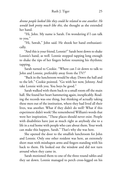*drome people looked like they could be related to one another. He would look pretty much like this,* she thought as she extended her hand.

"Hi, John. My name is Sarah. I'm wondering if I can talk to you."

"Hi, Sawah," John said. He shook her hand enthusiastically.

"And this is your friend, Lonnie?" Sarah bent down to shake Lonnie's hand, as well. Lonnie stopped tapping long enough to shake the tips of her fingers before resuming his rhythmic tapping.

Sarah turned to Cookie. "Where can I sit down to talk to John and Lonnie, preferably away from the TV?"

"Back in the lunchroom would be okay. Down the hall and to the left." Cookie pointed. "Go with her now, Johnny. And take Lonnie with you. You boys be good."

Sarah walked with them back to a small room off the main hall. She found her heart hammering again, inexplicably. Reading the records was one thing, but thinking of actually taking these men out of the institution, where they had lived all their lives, was another. What if they didn't do well? What if this experiment didn't work? She remembered William's words that were her inspiration, "These places should never exist. People with disabilities have just as much right as anybody else to a life in a real home with people who care about them. Your work can make this happen, Sarah." That's why she was here.

She opened the door to the smallish lunchroom for John and Lonnie. Only one other resident was here, an extremely short man with misshapen arms and fingers standing with his back to them. He looked out the window and did not turn around when they came in.

Sarah motioned them to one of the three round tables and they sat down. Lonnie managed to perch cross-legged on his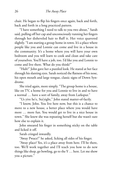chair. He began to flip his fingers once again, back and forth, back and forth in a long practiced pattern.

"I have something I need to talk to you two about," Sarah said, pulling off her cap and unconsciously running her fingers through her disheveled hair to fluff it. Her voice quavered slightly. "I am starting a group home in town. It's a place where people like you and Lonnie can come and live in a house in the community. It's a home where you will have your own bedroom and you will learn to cook and clean and take care of yourselves. You'll have a job, too. I'd like you and Lonnie to come and live there. What do you think?"

"Huh?" John gave her a puzzled look. He stared at her face through his slanting eyes. Sarah noticed the flatness of his nose, his open mouth and large tongue, classic signs of Down Syndrome.

She tried again, more simply. "The group home is a house, like on TV, a home for you and Lonnie to live in and to have a normal … have a sort of family, away from Larkspur."

"Us yive he'e, Sta'yight," John stated matter-of-factly.

"I know, John. You live here now, but this is a chance to move to a new house, a better place where you would have more … more fun. You would get to live in a nice house in town." She knew she was repeating herself but she wasn't sure how else to explain it.

John smeared his finger in something sticky on the table and licked it off.

Sarah cringed inwardly.

"Away Pwace?" he asked, licking all sides of his finger.

"Away place? Yes, it's a place away from here. I'll be there, too. We'll work together and I'll teach you how to do new things like shop, go bowling, go to the Y … here. Let me show you a picture."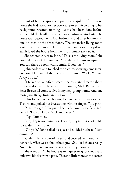Out of her backpack she pulled a snapshot of the stone house she had leased for her two-year project. According to her background research, nothing like this had been done before, so she told the landlord that she was renting to students. The house was spacious, with four bedrooms, and three bathrooms, one on each of the three floors. The expansive living room looked out over an ample front porch supported by pillars. Sarah loved the house from the first moment she saw it.

She scooted closer to John. "This is the living room," she pointed to one of the windows, "and the bedrooms are upstairs. You can share a room with Lonnie, if you like."

John nodded and touched the picture, showing some interest now. He handed the picture to Lonnie. "Yook, Yonnie, Away Pwace."

"I talked to Winifred Brecht, the assistant director about it. We've decided to have you and Lonnie, Mick Reimer, and Peter Brown all come to live in my new group home. And one more guy, Ricky, from another ward."

John looked at her breasts, braless beneath her tie-dyed T-shirt, and poked her breastbone with his finger. "You girl?"

"Yes, I'm a girl." She pulled her jacket over herself and reddened. "Do you know Mick and Peter?"

"Yep. Dummies."

"Oh, they're not dummies. They're, they're … it's not polite to say dummies, John."

"Oh yeah," John rolled his eyes and nodded his head, "dem dummies!"

Sarah smiled in spite of herself and covered her mouth with her hand. What was it about these guys? She liked them already. No pretense here, no wondering what they thought.

She went on, "The house is in a quiet neighborhood and only two blocks from a park. There's a little store at the corner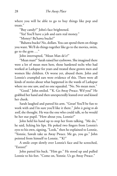where you will be able to go to buy things like pop and treats."

"Buy candy?" John's face brightened.

"Yes! You'll have a job and earn real money."

"Money? Ba'hawa bucks?"

"Bahawa bucks? No, dollars. You can spend them on things you want. We'll do things together like go to the movies, swim, go to the gym …"

John interrupted, "Mean Man de'e?"

"Mean man?" Sarah raised her eyebrows. She imagined there were a lot of mean men here, those hardened techs who had worked at Larkspur for years and treated these grown men and women like children. Or worse yet, abused them. John and Lonnie's crumpled ears were evidence of this. There were all kinds of stories about what happened in the wards of Larkspur where no one saw, and no one squealed. "No. No mean men."

"Good." John smiled. "'K. Go Away Pwace. Wif you!" He grabbed her hand and then unexpectedly leaned over and kissed her cheek.

Sarah laughed and patted his arm. "Great! You'll be fun to work with and I'm sure you'll like it there." *John is going to do well,* she thought. He was the one who could talk, so he would be her star pupil. "How about you, Lonnie?"

John held his hand up to stop her from talking. "Me do," he said, licking his lips. He poked two fingers from Lonnie's eyes to his own, signing, "Look," then he explained to Lonnie, "Yonnie, Sawah take us Away Pwace. Me go, you go." John pointed from himself to Lonnie. "'K?"

A smile crept slowly over Lonnie's face and he screeched, "Eeeeee!"

John patted his back. "Him go." He stood up and pulled Lonnie to his feet. "Come on, Yonnie. Us go Away Pwace."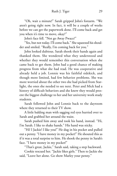"Oh, wait a minute!" Sarah gripped John's forearm. "We aren't going right now. In fact, it will be a couple of weeks before we can get the paperwork done. I'll come back and get you when it's time to move, okay?"

John's face fell. "Not go Away Pwace?"

"Yes, but not today. I'll come back." She squeezed his shoulder and smiled. "Really, I'm coming back for you."

John looked dubious. Sarah shook their hands again and thanked them. She wondered what they understood and whether they would remember this conversation when she came back to get them. John had a good chance of making progress from what she had read. He was cooperative and already held a job. Lonnie was his faithful sidekick, and though more limited, had few behavior problems. She was more worried about the other two she had picked from Starlight, the ones she needed to see next. Peter and Mick had a history of difficult behaviors and she knew they would present the biggest challenge to her and her university work study students.

Sarah followed John and Lonnie back to the dayroom where they returned to their TV show.

A little balding man with sagging red eyes hurried over to Sarah and grabbed her around the waist.

Sarah pushed him away and took his hand, instead. "Hi, I'm Sarah. I like to shake hands." His hand was sticky.

"Hi! I Jackie! I like you!" He dug in his pocket and pulled out a penny. "I have money in my pocket!" He shouted this as if it was a total surprise to him. He shook the penny in Sarah's face. "I have money in my pocket!"

"That's great, Jackie," Sarah said, taking a step backward.

Cookie rescued her. "Jackie likes girls." Then to Jackie she said, "Leave her alone. Go show Marley your penny."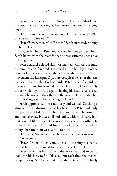Jackie stuck the penny into his pocket but wouldn't leave. He stood by Sarah staring at her breasts, his mouth hanging open.

"Don't stare, Jackie," Cookie said. Then she asked, "Who do you want to see next?"

"Peter Brown, then Mick Reimer," Sarah answered, zipping up her jacket.

Cookie led her to Peter and warned her not to touch him. Sarah knew from the records that he was extremely sensitive to being touched.

Peter's carmel-colored skin was marked with scars around his temples and forehead. He stood in the hall by the office door rocking vigorously. Sarah had heard that they called this movement the Larkspur Dip, a stereotypical behavior that she had seen in a couple of other wards. Peter leaned forward on one foot flapping his arms wildly, then leaned back briefly only to rock violently forward again, shaking his head, eyes closed. He was oblivious to the others in the room. He reminded her of a caged tiger senselessly pacing back and forth.

Sarah approached him cautiously and waited. Catching a glimpse of her during one of his head dips Peter suddenly stopped. He folded his arms, his hands tucked into his armpits, and looked away. He was tall and lanky, with thick curly hair that looked like it hadn't been cut for several months. He squeezed his eyes shut and his narrow face was pinched, as though her attention was painful to him.

"Hi, Peter. My name is Sarah. I've come to talk to you." No response.

"Peter, I won't touch you," she said, clasping her hands behind her. "I just wanted to meet you and let you know ..."

Peter turned his back to her. She moved around to try to look into his face, to find his eyes, but each time she moved, he spun away. She knew that Peter didn't talk and probably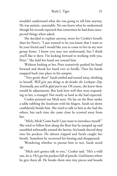wouldn't understand what she was going to tell him anyway. He was autistic, untestable. No one knew what he understood though his records reported that sometimes he had done unexpected things when asked.

She decided to explain anyway, more for Cookie's benefit than for Peter's, "I just wanted to let you know that I want to be your friend and I would like you to come to live in my new group home. I know you may not understand, but I think you'll like it there. I'm looking forward to working with you, Peter." She held her hand out toward him.

Without looking at her, Peter tentatively pushed his hand forward and shook her hand ever so briefly. Then his hands snapped back into place in his armpits.

"Very good, then!" Sarah smiled and turned away, thinking to herself, *We'll give you things to do besides the Larkspur Dip. Eventually, you will be glad you're out.* Of course, she knew there would be adjustments. But look how well they were responding to her, a stranger! Not nearly as hard as she had expected.

Cookie pointed out Mick next. He lay on the floor under a table rubbing the linoleum with his fingers. Sarah sat down confidently beside him. She tried to talk to him as she had the others, but each time she came close he scooted away from her.

"Mick, Mick! Come back! I just want to introduce myself." She tried to follow him along the floor but he jumped up and stumbled awkwardly toward the latrine, his hands shoved deep into his pockets. He almost tripped and Sarah caught her breath. Somehow he recovered his footing and disappeared.

Wondering whether to pursue him or not, Sarah stood up.

"Mick ain't gonna talk to you," Cookie said. "He's a wild one, he is. He's got his pockets full of pencils. God knows where he gets them all. He breaks them into tiny pieces and hoards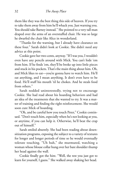them like they was the best thing this side of heaven. If you try to take them away from him he'll whack you. Just warning you. You should take Barney instead." She pointed to a very tall man draped over the arms of an overstuffed chair. He was so large he dwarfed the chair like Alice in wonderland.

"Thanks for the warning, but I already have clearance on these four." Sarah didn't look at Cookie. She didn't need any advice at this point.

Cookie gave her two-cents, anyway. "If I was you, I wouldn't even have any pencils around with Mick. You can't hide 'em from him. If he finds 'em, they'll be broke up into little pieces and stuck in his pockets. That's the main thing about him. Oh, and Mick likes to eat—you're gonna have to watch him. He'll eat anything, and I mean anything. It don't even have to be food. He'll stuff his mouth 'til he chokes. And he steals food from others."

Sarah nodded uninterestedly, trying not to encourage Cookie. She had read about his hoarding behaviors and had an idea of the treatments that she wanted to try. It was a matter of training and finding the right reinforcement. She would soon cure Mick of hoarding.

"Oh, and be careful how you touch Peter," Cookie continued. "Don't touch him, especially when he's not looking at you, or anytime, if you can help it. Otherwise, he'll beat the crap out of himself."

Sarah smiled absently. She had been reading about desensitization programs, exposing the subject to a variety of textures for longer and longer periods of time so he would eventually tolerate touching. "Uh huh," she murmured, watching a woman whose blouse collar hung over her bare shoulder thump her head against the wall.

Cookie finally got the hint. "Well, the rest you just got to learn for yourself, I guess." She walked away shaking her head.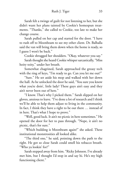Sarah felt a twinge of guilt for not listening to her, but she didn't want her plans tainted by Cookie's homespun treatments. "Thanks," she called to Cookie, too late to make her change course.

Sarah pulled on her cap and started for the door. "I have to rush off to Moonbeam to see my other client. Dr. Balhalla said the van will bring them down when the home is ready, so I guess I won't be back."

Cookie shrugged her shoulders. "Okay, whatever you say."

Sarah thought she heard Cookie whisper sarcastically, "Miss hoity toity," under her breath.

Somewhat chagrined, Sarah approached the greasy tech with the ring of keys, "I'm ready to go. Can you let me out?"

"Sure." He set aside his mop and walked with her down the hall. As he unlocked the door he said, "You sure you know what you're doin', little lady? These guys ain't easy and they ain't never been out of here."

"I know. That's why I picked them." Sarah slipped on her gloves, anxious to leave. "I've done a lot of research and I think we'll be able to help them adjust to living in the community. In fact, I think they have a right to be out there … instead of in here. That's what I hope to prove."

"Well, good luck. It ain't no picnic in here sometimes." He opened the door for her to pass through. "Nope, it ain't no picnic, that's for sure."

"Which building is Moonbeam again?" she asked. These institutional monstrosities all looked alike.

"The third one," he said, pointing down the path to the right. He got so close Sarah could smell his tobacco breath. "Who ya lookin' for?"

Sarah stepped away from him. "Ricky Johnson. I've already met him, but I thought I'd stop in and say hi. He's my high functioning client."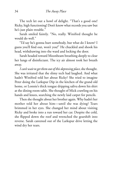The tech let out a howl of delight. "That's a good one! Ricky, high functioning! Don't know what records you saw but he's just plain trouble."

Sarah smiled faintly. "No, really. Winifred thought he would do well."

"I'd say he's gonna hurt somebody, but what do I know? I guess you'll find out, won't you!" He chuckled and shook his head, withdrawing into the ward and locking the door.

Sarah headed toward Moonbeam breathing deeply to clear her lungs of disinfectant. The icy air almost took her breath away.

*I can't wait to get them out of this depressing place,* she thought. She was irritated that the slimy tech had laughed. And what hadn't Winifred told her about Ricky? She tried to imagine Peter doing the Larkspur Dip in the kitchen of the grand old home, or Lonnie's thick tongue dripping saliva down his shirt at the dining room table. She thought of Mick crawling on his hands and knees, searching the newly laid carpet for pencils.

Then she thought about her brother again. Why hadn't her mother told her about him—until she was dying? Tears brimmed in her eyes. She changed her mind about visiting Ricky and broke into a run toward her car. Despite the cold, she flipped down the roof and wrenched the gearshift into reverse. Sarah careened out of the Larkspur drive letting the wind dry her tears.